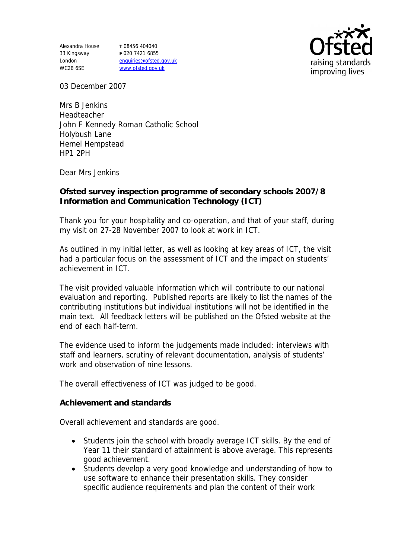Alexandra House 33 Kingsway London WC2B 6SE

**T** 08456 404040 **F** 020 7421 6855 enquiries@ofsted.gov.uk www.ofsted.gov.uk



03 December 2007

Mrs B Jenkins Headteacher John F Kennedy Roman Catholic School Holybush Lane Hemel Hempstead HP1 2PH

Dear Mrs Jenkins

**Ofsted survey inspection programme of secondary schools 2007/8 Information and Communication Technology (ICT)** 

Thank you for your hospitality and co-operation, and that of your staff, during my visit on 27-28 November 2007 to look at work in ICT.

As outlined in my initial letter, as well as looking at key areas of ICT, the visit had a particular focus on the assessment of ICT and the impact on students' achievement in ICT.

The visit provided valuable information which will contribute to our national evaluation and reporting. Published reports are likely to list the names of the contributing institutions but individual institutions will not be identified in the main text. All feedback letters will be published on the Ofsted website at the end of each half-term.

The evidence used to inform the judgements made included: interviews with staff and learners, scrutiny of relevant documentation, analysis of students' work and observation of nine lessons.

The overall effectiveness of ICT was judged to be good.

**Achievement and standards** 

Overall achievement and standards are good.

- Students join the school with broadly average ICT skills. By the end of Year 11 their standard of attainment is above average. This represents good achievement.
- Students develop a very good knowledge and understanding of how to use software to enhance their presentation skills. They consider specific audience requirements and plan the content of their work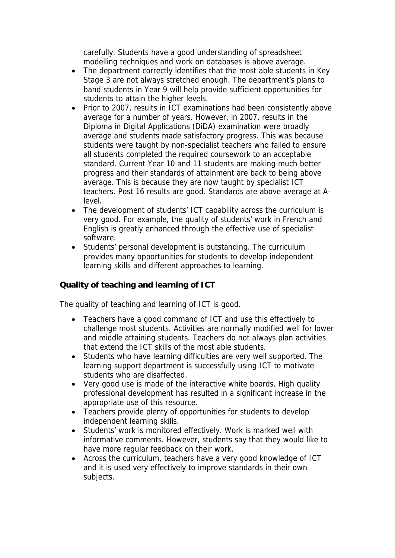carefully. Students have a good understanding of spreadsheet modelling techniques and work on databases is above average.

- The department correctly identifies that the most able students in Key Stage 3 are not always stretched enough. The department's plans to band students in Year 9 will help provide sufficient opportunities for students to attain the higher levels.
- Prior to 2007, results in ICT examinations had been consistently above average for a number of years. However, in 2007, results in the Diploma in Digital Applications (DiDA) examination were broadly average and students made satisfactory progress. This was because students were taught by non-specialist teachers who failed to ensure all students completed the required coursework to an acceptable standard. Current Year 10 and 11 students are making much better progress and their standards of attainment are back to being above average. This is because they are now taught by specialist ICT teachers. Post 16 results are good. Standards are above average at Alevel.
- The development of students' ICT capability across the curriculum is very good. For example, the quality of students' work in French and English is greatly enhanced through the effective use of specialist software.
- Students' personal development is outstanding. The curriculum provides many opportunities for students to develop independent learning skills and different approaches to learning.

**Quality of teaching and learning of ICT**

The quality of teaching and learning of ICT is good.

- Teachers have a good command of ICT and use this effectively to challenge most students. Activities are normally modified well for lower and middle attaining students. Teachers do not always plan activities that extend the ICT skills of the most able students.
- Students who have learning difficulties are very well supported. The learning support department is successfully using ICT to motivate students who are disaffected.
- Very good use is made of the interactive white boards. High quality professional development has resulted in a significant increase in the appropriate use of this resource.
- Teachers provide plenty of opportunities for students to develop independent learning skills.
- Students' work is monitored effectively. Work is marked well with informative comments. However, students say that they would like to have more regular feedback on their work.
- Across the curriculum, teachers have a very good knowledge of ICT and it is used very effectively to improve standards in their own subjects.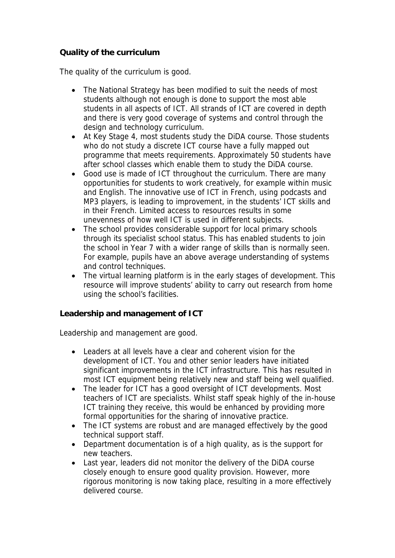## **Quality of the curriculum**

The quality of the curriculum is good.

- The National Strategy has been modified to suit the needs of most students although not enough is done to support the most able students in all aspects of ICT. All strands of ICT are covered in depth and there is very good coverage of systems and control through the design and technology curriculum.
- At Key Stage 4, most students study the DiDA course. Those students who do not study a discrete ICT course have a fully mapped out programme that meets requirements. Approximately 50 students have after school classes which enable them to study the DiDA course.
- Good use is made of ICT throughout the curriculum. There are many opportunities for students to work creatively, for example within music and English. The innovative use of ICT in French, using podcasts and MP3 players, is leading to improvement, in the students' ICT skills and in their French. Limited access to resources results in some unevenness of how well ICT is used in different subjects.
- The school provides considerable support for local primary schools through its specialist school status. This has enabled students to join the school in Year 7 with a wider range of skills than is normally seen. For example, pupils have an above average understanding of systems and control techniques.
- The virtual learning platform is in the early stages of development. This resource will improve students' ability to carry out research from home using the school's facilities.

**Leadership and management of ICT**

Leadership and management are good.

- Leaders at all levels have a clear and coherent vision for the development of ICT. You and other senior leaders have initiated significant improvements in the ICT infrastructure. This has resulted in most ICT equipment being relatively new and staff being well qualified.
- The leader for ICT has a good oversight of ICT developments. Most teachers of ICT are specialists. Whilst staff speak highly of the in-house ICT training they receive, this would be enhanced by providing more formal opportunities for the sharing of innovative practice.
- The ICT systems are robust and are managed effectively by the good technical support staff.
- Department documentation is of a high quality, as is the support for new teachers.
- Last year, leaders did not monitor the delivery of the DiDA course closely enough to ensure good quality provision. However, more rigorous monitoring is now taking place, resulting in a more effectively delivered course.